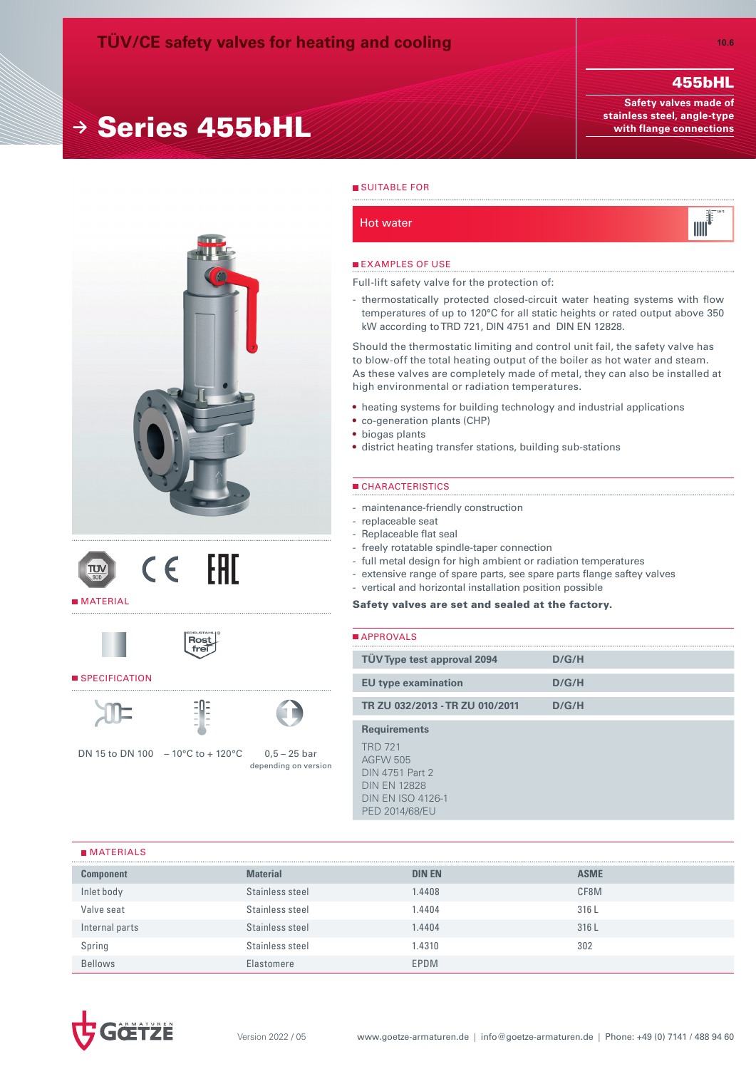# **<sup>→</sup>** Series 455bHL

## 455bHL

**Safety valves made of stainless steel, angle-type with flange connections**









#### SPECIFICATION





Ros<br>fre

DN 15 to DN 100 – 10°C to + 120°C 0,5 – 25 bar



# **SUITABLE FOR**

Hot water



#### **EXAMPLES OF USE**

Full-lift safety valve for the protection of:

- thermostatically protected closed-circuit water heating systems with flow temperatures of up to 120°C for all static heights or rated output above 350 kW according to TRD 721, DIN 4751 and DIN EN 12828.

Should the thermostatic limiting and control unit fail, the safety valve has to blow-off the total heating output of the boiler as hot water and steam. As these valves are completely made of metal, they can also be installed at high environmental or radiation temperatures.

- • heating systems for building technology and industrial applications
- co-generation plants (CHP)
- • biogas plants
- district heating transfer stations, building sub-stations

#### CHARACTERISTICS

- maintenance-friendly construction
- replaceable seat
- Replaceable flat seal
- freely rotatable spindle-taper connection
- full metal design for high ambient or radiation temperatures
- extensive range of spare parts, see spare parts flange saftey valves
- vertical and horizontal installation position possible

#### Safety valves are set and sealed at the factory.

| <b>■ APPROVALS</b>                                                                                                                                      |       |
|---------------------------------------------------------------------------------------------------------------------------------------------------------|-------|
| TÜV Type test approval 2094                                                                                                                             | D/G/H |
| <b>EU</b> type examination                                                                                                                              | D/G/H |
| TR ZU 032/2013 - TR ZU 010/2011                                                                                                                         | D/G/H |
| <b>Requirements</b><br><b>TRD 721</b><br><b>AGFW 505</b><br><b>DIN 4751 Part 2</b><br><b>DIN EN 12828</b><br><b>DIN EN ISO 4126-1</b><br>PED 2014/68/EU |       |
|                                                                                                                                                         |       |

#### **MATERIALS**

| <b>Component</b> | <b>Material</b> | <b>DIN EN</b> | <b>ASME</b> |
|------------------|-----------------|---------------|-------------|
| Inlet body       | Stainless steel | 1.4408        | CF8M        |
| Valve seat       | Stainless steel | 1.4404        | 316L        |
| Internal parts   | Stainless steel | 1.4404        | 316L        |
| Spring           | Stainless steel | 1.4310        | 302         |
| <b>Bellows</b>   | Elastomere      | EPDM          |             |

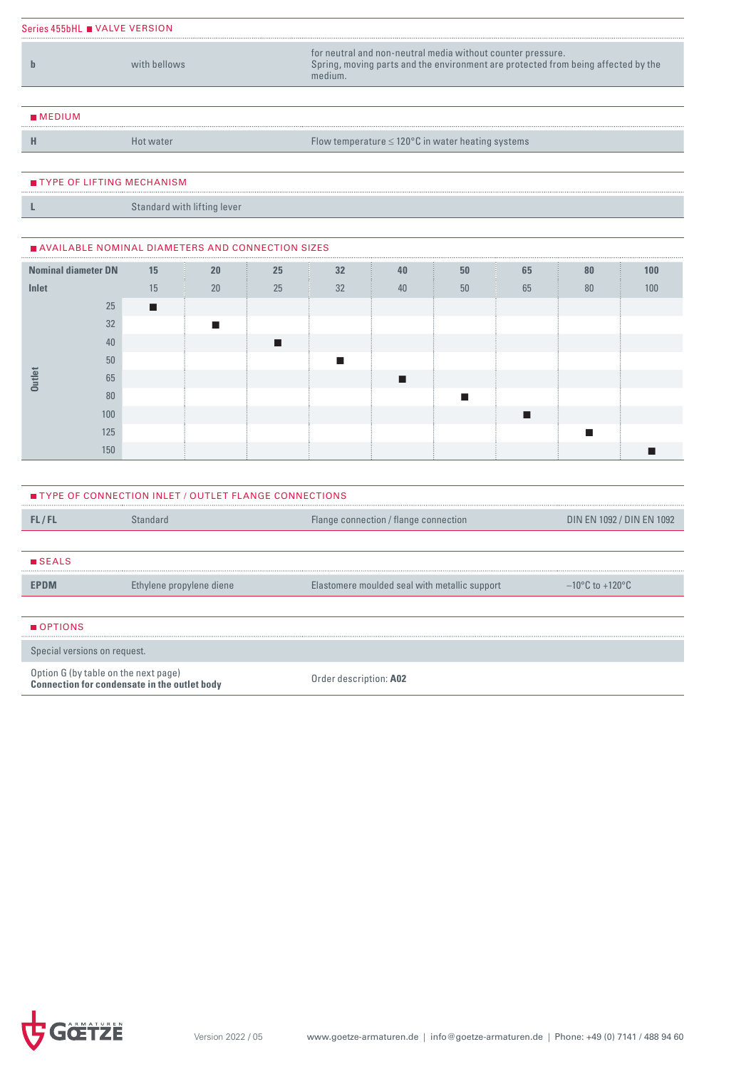| Series 455bHL ■ VALVE VERSION |              |                                                                                                                                                             |  |  |  |  |  |  |  |
|-------------------------------|--------------|-------------------------------------------------------------------------------------------------------------------------------------------------------------|--|--|--|--|--|--|--|
|                               | with hellows | for neutral and non-neutral media without counter pressure.<br>Spring, moving parts and the environment are protected from being affected by the<br>medium. |  |  |  |  |  |  |  |
|                               |              |                                                                                                                                                             |  |  |  |  |  |  |  |
| MEDIUM                        |              |                                                                                                                                                             |  |  |  |  |  |  |  |
|                               |              | Flow temperature $\leq 120^{\circ}$ C in water heating systems                                                                                              |  |  |  |  |  |  |  |

#### TYPE OF LIFTING MECHANISM

**L** Standard with lifting lever

### AVAILABLE NOMINAL DIAMETERS AND CONNECTION SIZES

| <b>Nominal diameter DN</b> |     | 15 | 20 | 25 | 32 | 40 | 50 | 65 | 80 | 100 |
|----------------------------|-----|----|----|----|----|----|----|----|----|-----|
| Inlet                      |     | 15 | 20 | 25 | 32 | 40 | 50 | 65 | 80 | 100 |
|                            | 25  | п  |    |    |    |    |    |    |    |     |
|                            | 32  |    |    |    |    |    |    |    |    |     |
|                            | 40  |    |    |    |    |    |    |    |    |     |
|                            | 50  |    |    |    |    |    |    |    |    |     |
| <b>Outlet</b>              | 65  |    |    |    |    |    |    |    |    |     |
|                            | 80  |    |    |    |    |    |    |    |    |     |
|                            | 100 |    |    |    |    |    |    |    |    |     |
|                            | 125 |    |    |    |    |    |    |    |    |     |
|                            | 150 |    |    |    |    |    |    |    |    |     |

| <b>TYPE OF CONNECTION INLET / OUTLET FLANGE CONNECTIONS</b> |                                                     |                                               |                                      |  |  |  |  |  |
|-------------------------------------------------------------|-----------------------------------------------------|-----------------------------------------------|--------------------------------------|--|--|--|--|--|
| FL/FL                                                       | Standard                                            | Flange connection / flange connection         | DIN EN 1092 / DIN EN 1092            |  |  |  |  |  |
|                                                             |                                                     |                                               |                                      |  |  |  |  |  |
| <b>SEALS</b>                                                |                                                     |                                               |                                      |  |  |  |  |  |
| EPDM                                                        | Ethylene propylene diene                            | Elastomere moulded seal with metallic support | $-10^{\circ}$ C to +120 $^{\circ}$ C |  |  |  |  |  |
|                                                             |                                                     |                                               |                                      |  |  |  |  |  |
| OPTIONS                                                     |                                                     |                                               |                                      |  |  |  |  |  |
|                                                             | Special versions on request.                        |                                               |                                      |  |  |  |  |  |
| Option G (by table on the next page)                        | <b>Connection for condensate in the outlet body</b> | Order description: A02                        |                                      |  |  |  |  |  |

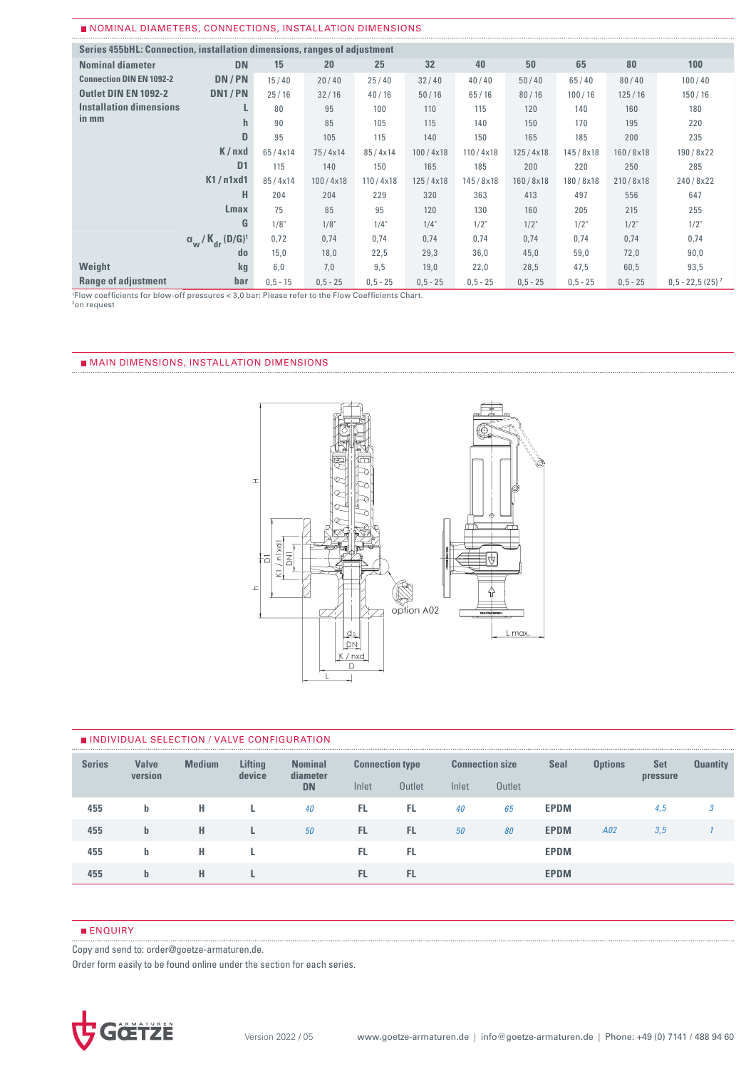#### NOMINAL DIAMETERS, CONNECTIONS, INSTALLATION DIMENSIONS

| Series 455bHL: Connection, installation dimensions, ranges of adjustment |                                                                       |             |             |             |             |            |             |            |            |                    |  |  |
|--------------------------------------------------------------------------|-----------------------------------------------------------------------|-------------|-------------|-------------|-------------|------------|-------------|------------|------------|--------------------|--|--|
| <b>Nominal diameter</b>                                                  | <b>DN</b>                                                             | 15          | 20          | 25          | 32          | 40         | 50          | 65         | 80         | 100                |  |  |
| <b>Connection DIN EN 1092-2</b>                                          | DN/PN                                                                 | 15/40       | 20/40       | 25/40       | 32/40       | 40/40      | 50/40       | 65/40      | 80/40      | 100/40             |  |  |
| <b>Outlet DIN EN 1092-2</b>                                              | DN1/PN                                                                | 25/16       | 32/16       | 40/16       | 50/16       | 65/16      | 80/16       | 100/16     | 125/16     | 150/16             |  |  |
| Installation dimensions                                                  |                                                                       | 80          | 95          | 100         | 110         | 115        | 120         | 140        | 160        | 180                |  |  |
| in mm                                                                    | h                                                                     | 90          | 85          | 105         | 115         | 140        | 150         | 170        | 195        | 220                |  |  |
|                                                                          | D                                                                     | 95          | 105         | 115         | 140         | 150        | 165         | 185        | 200        | 235                |  |  |
|                                                                          | K/nxd                                                                 | 65/4x14     | 75/4x14     | 85/4x14     | 100/4x18    | 110/4x18   | 125/4x18    | 145/8x18   | 160/8x18   | 190/8x22           |  |  |
|                                                                          | D <sub>1</sub>                                                        | 115         | 140         | 150         | 165         | 185        | 200         | 220        | 250        | 285                |  |  |
|                                                                          | K1/n1xd1                                                              | 85/4x14     | 100/4x18    | 110/4x18    | 125/4x18    | 145/8x18   | 160/8x18    | 180/8x18   | 210/8x18   | 240/8x22           |  |  |
|                                                                          | н                                                                     | 204         | 204         | 229         | 320         | 363        | 413         | 497        | 556        | 647                |  |  |
|                                                                          | Lmax                                                                  | 75          | 85          | 95          | 120         | 130        | 160         | 205        | 215        | 255                |  |  |
|                                                                          | G                                                                     | 1/8"        | 1/8"        | 1/4"        | 1/4"        | 1/2"       | $1/2$ "     | 1/2"       | $1/2$ "    | $1/2$ "            |  |  |
|                                                                          | $\alpha_{\mathsf{w}}$ / $\mathsf{K}_{\mathsf{dr}}$ (D/G) <sup>1</sup> | 0,72        | 0,74        | 0,74        | 0,74        | 0,74       | 0,74        | 0,74       | 0,74       | 0,74               |  |  |
|                                                                          | $d_{0}$                                                               | 15,0        | 18,0        | 22,5        | 29,3        | 36,0       | 45,0        | 59,0       | 72,0       | 90,0               |  |  |
| Weight                                                                   | kq                                                                    | 6.0         | 7,0         | 9,5         | 19,0        | 22,0       | 28,5        | 47,5       | 60,5       | 93,5               |  |  |
| <b>Range of adjustment</b>                                               | bar                                                                   | $0, 5 - 15$ | $0, 5 - 25$ | $0, 5 - 25$ | $0, 5 - 25$ | $0,5 - 25$ | $0, 5 - 25$ | $0,5 - 25$ | $0,5 - 25$ | $0.5 - 22.5(25)^2$ |  |  |

1 Flow coefficients for blow-off pressures < 3,0 bar: Please refer to the Flow Coefficients Chart. 2on request

#### MAIN DIMENSIONS, INSTALLATION DIMENSIONS



#### INDIVIDUAL SELECTION / VALVE CONFIGURATION

| <b>Series</b> | <b>Valve</b><br>version | <b>Medium</b> | <b>Lifting</b><br>device | <b>Nominal</b><br>diameter |       | <b>Connection type</b> |       | <b>Connection size</b> |             | <b>Options</b> | <b>Set</b><br>pressure | <b>Quantity</b> |
|---------------|-------------------------|---------------|--------------------------|----------------------------|-------|------------------------|-------|------------------------|-------------|----------------|------------------------|-----------------|
|               |                         |               |                          | <b>DN</b>                  | Inlet | Outlet                 | Inlet | <b>Outlet</b>          |             |                |                        |                 |
| 455           | b                       | н             |                          | 40                         | FL.   | FL.                    | 40    | 65                     | <b>EPDM</b> |                | 4,5                    | 5               |
| 455           | $\mathbf{b}$            | н             |                          | 50                         | FL.   | FL.                    | 50    | 80                     | <b>EPDM</b> | A02            | 3,5                    |                 |
| 455           | b                       | н             |                          |                            | FL.   | FL                     |       |                        | <b>EPDM</b> |                |                        |                 |
| 455           | $\mathbf{b}$            | н             |                          |                            | FL.   | FL.                    |       |                        | <b>EPDM</b> |                |                        |                 |

#### **ENQUIRY**

Copy and send to: order@goetze-armaturen.de.

Order form easily to be found online under the section for each series.

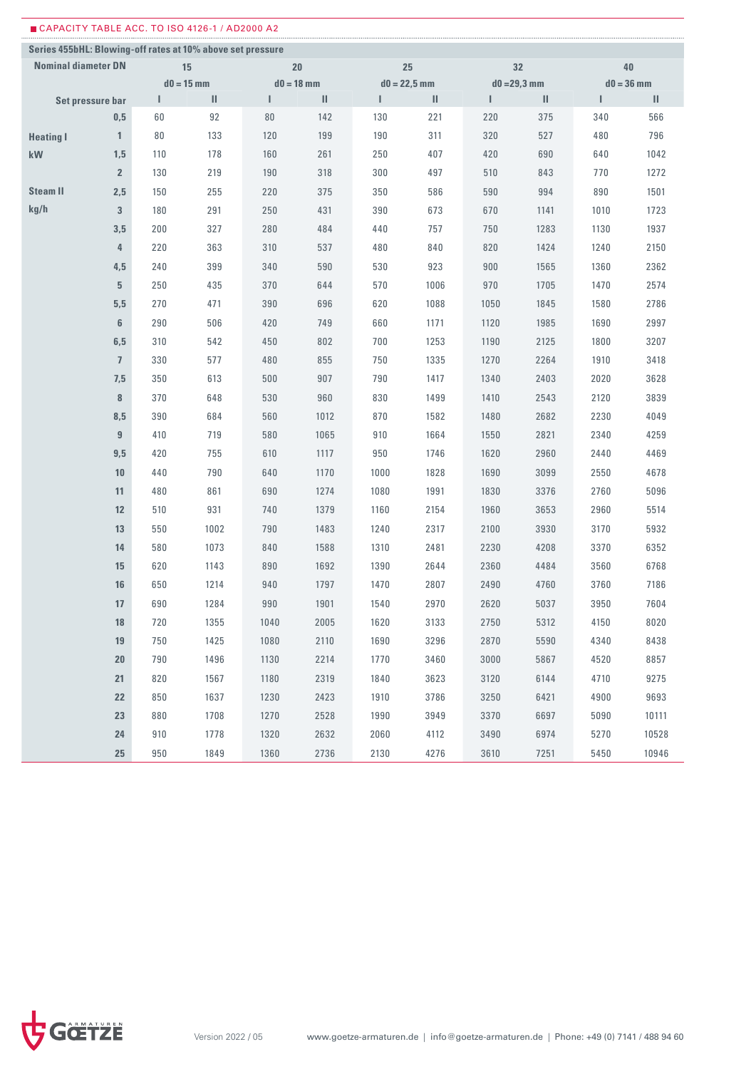| ■ CAPACITY TABLE ACC. TO ISO 4126-1 / AD2000 A2            |                            |              |              |              |      |                |      |      |                |              |       |
|------------------------------------------------------------|----------------------------|--------------|--------------|--------------|------|----------------|------|------|----------------|--------------|-------|
| Series 455bHL: Blowing-off rates at 10% above set pressure |                            |              |              |              |      |                |      |      |                |              |       |
|                                                            | <b>Nominal diameter DN</b> |              | 15           | 20           |      |                | 25   |      | 32             | $40\,$       |       |
|                                                            |                            |              | $d0 = 15$ mm | $d0 = 18$ mm |      | $d0 = 22,5$ mm |      |      | $d0 = 29,3$ mm | $d0 = 36$ mm |       |
|                                                            | Set pressure bar           | $\mathbf{I}$ | Ш            | L            | Ш    | Т              | Ш    | L    | Ш              | L            | Ш     |
|                                                            | 0,5                        | 60           | 92           | 80           | 142  | 130            | 221  | 220  | 375            | 340          | 566   |
| <b>Heating I</b>                                           | $\mathbf{1}$               | 80           | 133          | 120          | 199  | 190            | 311  | 320  | 527            | 480          | 796   |
| kW                                                         | 1,5                        | 110          | 178          | 160          | 261  | 250            | 407  | 420  | 690            | 640          | 1042  |
|                                                            | $\overline{2}$             | 130          | 219          | 190          | 318  | 300            | 497  | 510  | 843            | 770          | 1272  |
| <b>Steam II</b>                                            | 2,5                        | 150          | 255          | 220          | 375  | 350            | 586  | 590  | 994            | 890          | 1501  |
| kg/h                                                       | $\overline{3}$             | 180          | 291          | 250          | 431  | 390            | 673  | 670  | 1141           | 1010         | 1723  |
|                                                            | 3,5                        | 200          | 327          | 280          | 484  | 440            | 757  | 750  | 1283           | 1130         | 1937  |
|                                                            | 4                          | 220          | 363          | 310          | 537  | 480            | 840  | 820  | 1424           | 1240         | 2150  |
|                                                            | 4,5                        | 240          | 399          | 340          | 590  | 530            | 923  | 900  | 1565           | 1360         | 2362  |
|                                                            | 5                          | 250          | 435          | 370          | 644  | 570            | 1006 | 970  | 1705           | 1470         | 2574  |
|                                                            | 5,5                        | 270          | 471          | 390          | 696  | 620            | 1088 | 1050 | 1845           | 1580         | 2786  |
|                                                            | 6                          | 290          | 506          | 420          | 749  | 660            | 1171 | 1120 | 1985           | 1690         | 2997  |
|                                                            | 6,5                        | 310          | 542          | 450          | 802  | 700            | 1253 | 1190 | 2125           | 1800         | 3207  |
|                                                            | $\overline{1}$             | 330          | 577          | 480          | 855  | 750            | 1335 | 1270 | 2264           | 1910         | 3418  |
|                                                            | 7,5                        | 350          | 613          | 500          | 907  | 790            | 1417 | 1340 | 2403           | 2020         | 3628  |
|                                                            | 8                          | 370          | 648          | 530          | 960  | 830            | 1499 | 1410 | 2543           | 2120         | 3839  |
|                                                            | 8,5                        | 390          | 684          | 560          | 1012 | 870            | 1582 | 1480 | 2682           | 2230         | 4049  |
|                                                            | 9                          | 410          | 719          | 580          | 1065 | 910            | 1664 | 1550 | 2821           | 2340         | 4259  |
|                                                            | 9,5                        | 420          | 755          | 610          | 1117 | 950            | 1746 | 1620 | 2960           | 2440         | 4469  |
|                                                            | 10                         | 440          | 790          | 640          | 1170 | 1000           | 1828 | 1690 | 3099           | 2550         | 4678  |
|                                                            | 11                         | 480          | 861          | 690          | 1274 | 1080           | 1991 | 1830 | 3376           | 2760         | 5096  |
|                                                            | 12                         | 510          | 931          | 740          | 1379 | 1160           | 2154 | 1960 | 3653           | 2960         | 5514  |
|                                                            | 13                         | 550          | 1002         | 790          | 1483 | 1240           | 2317 | 2100 | 3930           | 3170         | 5932  |
|                                                            |                            |              |              |              |      |                |      |      |                |              |       |
|                                                            | 14                         | 580          | 1073         | 840          | 1588 | 1310           | 2481 | 2230 | 4208           | 3370         | 6352  |
|                                                            | 15                         | 620          | 1143         | 890          | 1692 | 1390           | 2644 | 2360 | 4484           | 3560         | 6768  |
|                                                            | 16                         | 650          | 1214         | 940          | 1797 | 1470           | 2807 | 2490 | 4760           | 3760         | 7186  |
|                                                            | 17                         | 690          | 1284         | 990          | 1901 | 1540           | 2970 | 2620 | 5037           | 3950         | 7604  |
|                                                            | $18\,$                     | 720          | 1355         | 1040         | 2005 | 1620           | 3133 | 2750 | 5312           | 4150         | 8020  |
|                                                            | 19                         | 750          | 1425         | 1080         | 2110 | 1690           | 3296 | 2870 | 5590           | 4340         | 8438  |
|                                                            | 20                         | 790          | 1496         | 1130         | 2214 | 1770           | 3460 | 3000 | 5867           | 4520         | 8857  |
|                                                            | 21                         | 820          | 1567         | 1180         | 2319 | 1840           | 3623 | 3120 | 6144           | 4710         | 9275  |
|                                                            | 22                         | 850          | 1637         | 1230         | 2423 | 1910           | 3786 | 3250 | 6421           | 4900         | 9693  |
|                                                            | 23                         | 880          | 1708         | 1270         | 2528 | 1990           | 3949 | 3370 | 6697           | 5090         | 10111 |
|                                                            | 24                         | 910          | 1778         | 1320         | 2632 | 2060           | 4112 | 3490 | 6974           | 5270         | 10528 |
|                                                            | 25                         | 950          | 1849         | 1360         | 2736 | 2130           | 4276 | 3610 | 7251           | 5450         | 10946 |